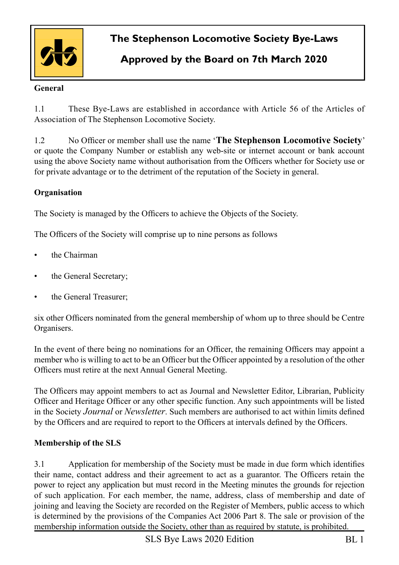

# **The Stephenson Locomotive Society Bye-Laws**

# **Approved by the Board on 7th March 2020**

### **General**

1.1 These Bye-Laws are established in accordance with Article 56 of the Articles of Association of The Stephenson Locomotive Society.

1.2 No Officer or member shall use the name '**The Stephenson Locomotive Society**' or quote the Company Number or establish any web-site or internet account or bank account using the above Society name without authorisation from the Officers whether for Society use or for private advantage or to the detriment of the reputation of the Society in general.

### **Organisation**

The Society is managed by the Officers to achieve the Objects of the Society.

The Officers of the Society will comprise up to nine persons as follows

- the Chairman
- the General Secretary;
- the General Treasurer:

six other Officers nominated from the general membership of whom up to three should be Centre Organisers.

In the event of there being no nominations for an Officer, the remaining Officers may appoint a member who is willing to act to be an Officer but the Officer appointed by a resolution of the other Officers must retire at the next Annual General Meeting.

The Officers may appoint members to act as Journal and Newsletter Editor, Librarian, Publicity Officer and Heritage Officer or any other specific function. Any such appointments will be listed in the Society *Journal* or *Newsletter*. Such members are authorised to act within limits defined by the Officers and are required to report to the Officers at intervals defined by the Officers.

#### **Membership of the SLS**

3.1 Application for membership of the Society must be made in due form which identifies their name, contact address and their agreement to act as a guarantor. The Officers retain the power to reject any application but must record in the Meeting minutes the grounds for rejection of such application. For each member, the name, address, class of membership and date of joining and leaving the Society are recorded on the Register of Members, public access to which is determined by the provisions of the Companies Act 2006 Part 8. The sale or provision of the membership information outside the Society, other than as required by statute, is prohibited.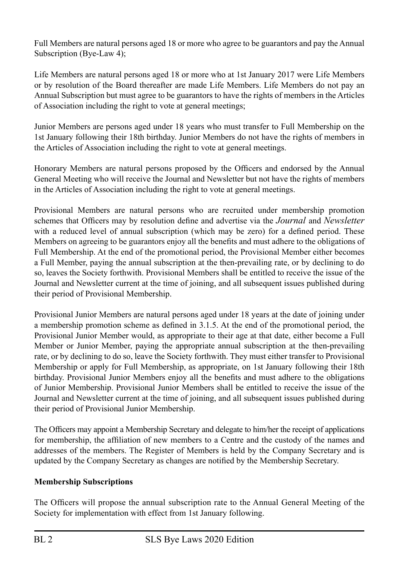Full Members are natural persons aged 18 or more who agree to be guarantors and pay the Annual Subscription (Bye-Law 4);

Life Members are natural persons aged 18 or more who at 1st January 2017 were Life Members or by resolution of the Board thereafter are made Life Members. Life Members do not pay an Annual Subscription but must agree to be guarantors to have the rights of members in the Articles of Association including the right to vote at general meetings;

Junior Members are persons aged under 18 years who must transfer to Full Membership on the 1st January following their 18th birthday. Junior Members do not have the rights of members in the Articles of Association including the right to vote at general meetings.

Honorary Members are natural persons proposed by the Officers and endorsed by the Annual General Meeting who will receive the Journal and Newsletter but not have the rights of members in the Articles of Association including the right to vote at general meetings.

Provisional Members are natural persons who are recruited under membership promotion schemes that Officers may by resolution define and advertise via the *Journal* and *Newsletter*  with a reduced level of annual subscription (which may be zero) for a defined period. These Members on agreeing to be guarantors enjoy all the benefits and must adhere to the obligations of Full Membership. At the end of the promotional period, the Provisional Member either becomes a Full Member, paying the annual subscription at the then-prevailing rate, or by declining to do so, leaves the Society forthwith. Provisional Members shall be entitled to receive the issue of the Journal and Newsletter current at the time of joining, and all subsequent issues published during their period of Provisional Membership.

Provisional Junior Members are natural persons aged under 18 years at the date of joining under a membership promotion scheme as defined in 3.1.5. At the end of the promotional period, the Provisional Junior Member would, as appropriate to their age at that date, either become a Full Member or Junior Member, paying the appropriate annual subscription at the then-prevailing rate, or by declining to do so, leave the Society forthwith. They must either transfer to Provisional Membership or apply for Full Membership, as appropriate, on 1st January following their 18th birthday. Provisional Junior Members enjoy all the benefits and must adhere to the obligations of Junior Membership. Provisional Junior Members shall be entitled to receive the issue of the Journal and Newsletter current at the time of joining, and all subsequent issues published during their period of Provisional Junior Membership.

The Officers may appoint a Membership Secretary and delegate to him/her the receipt of applications for membership, the affiliation of new members to a Centre and the custody of the names and addresses of the members. The Register of Members is held by the Company Secretary and is updated by the Company Secretary as changes are notified by the Membership Secretary.

## **Membership Subscriptions**

The Officers will propose the annual subscription rate to the Annual General Meeting of the Society for implementation with effect from 1st January following.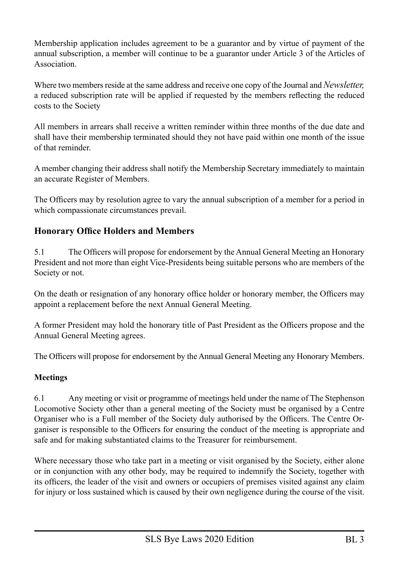Membership application includes agreement to be a guarantor and by virtue of payment of the annual subscription, a member will continue to be a guarantor under Article 3 of the Articles of Association.

Where two members reside at the same address and receive one copy of the Journal and *Newsletter*. a reduced subscription rate will be applied if requested by the members reflecting the reduced costs to the Society

All members in arrears shall receive a written reminder within three months of the due date and shall have their membership terminated should they not have paid within one month of the issue of that reminder.

A member changing their address shall notify the Membership Secretary immediately to maintain an accurate Register of Members.

The Officers may by resolution agree to vary the annual subscription of a member for a period in which compassionate circumstances prevail.

## **Honorary Office Holders and Members**

5.1 The Officers will propose for endorsement by the Annual General Meeting an Honorary President and not more than eight Vice-Presidents being suitable persons who are members of the Society or not.

On the death or resignation of any honorary office holder or honorary member, the Officers may appoint a replacement before the next Annual General Meeting.

A former President may hold the honorary title of Past President as the Officers propose and the Annual General Meeting agrees.

The Officers will propose for endorsement by the Annual General Meeting any Honorary Members.

## **Meetings**

6.1 Any meeting or visit or programme of meetings held under the name of The Stephenson Locomotive Society other than a general meeting of the Society must be organised by a Centre Organiser who is a Full member of the Society duly authorised by the Officers. The Centre Organiser is responsible to the Officers for ensuring the conduct of the meeting is appropriate and safe and for making substantiated claims to the Treasurer for reimbursement.

Where necessary those who take part in a meeting or visit organised by the Society, either alone or in conjunction with any other body, may be required to indemnify the Society, together with its officers, the leader of the visit and owners or occupiers of premises visited against any claim for injury or loss sustained which is caused by their own negligence during the course of the visit.